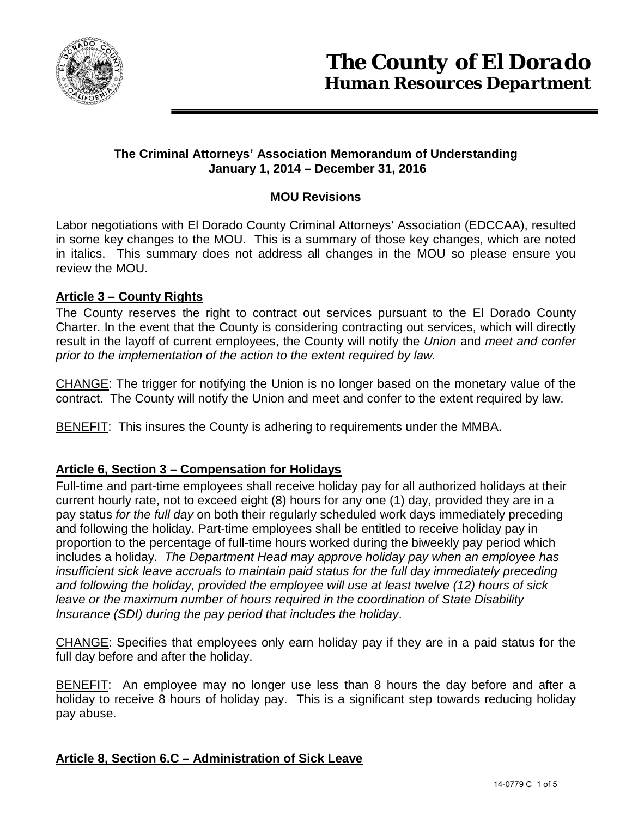

## **The Criminal Attorneys' Association Memorandum of Understanding January 1, 2014 – December 31, 2016**

# **MOU Revisions**

Labor negotiations with El Dorado County Criminal Attorneys' Association (EDCCAA), resulted in some key changes to the MOU. This is a summary of those key changes, which are noted in italics. This summary does not address all changes in the MOU so please ensure you review the MOU.

## **Article 3 – County Rights**

The County reserves the right to contract out services pursuant to the El Dorado County Charter. In the event that the County is considering contracting out services, which will directly result in the layoff of current employees, the County will notify the *Union* and *meet and confer prior to the implementation of the action to the extent required by law.* 

CHANGE: The trigger for notifying the Union is no longer based on the monetary value of the contract. The County will notify the Union and meet and confer to the extent required by law.

BENEFIT: This insures the County is adhering to requirements under the MMBA.

## **Article 6, Section 3 – Compensation for Holidays**

Full-time and part-time employees shall receive holiday pay for all authorized holidays at their current hourly rate, not to exceed eight (8) hours for any one (1) day, provided they are in a pay status *for the full day* on both their regularly scheduled work days immediately preceding and following the holiday. Part-time employees shall be entitled to receive holiday pay in proportion to the percentage of full-time hours worked during the biweekly pay period which includes a holiday. *The Department Head may approve holiday pay when an employee has insufficient sick leave accruals to maintain paid status for the full day immediately preceding and following the holiday, provided the employee will use at least twelve (12) hours of sick leave or the maximum number of hours required in the coordination of State Disability Insurance (SDI) during the pay period that includes the holiday*.

CHANGE: Specifies that employees only earn holiday pay if they are in a paid status for the full day before and after the holiday.

BENEFIT: An employee may no longer use less than 8 hours the day before and after a holiday to receive 8 hours of holiday pay. This is a significant step towards reducing holiday pay abuse.

## **Article 8, Section 6.C – Administration of Sick Leave**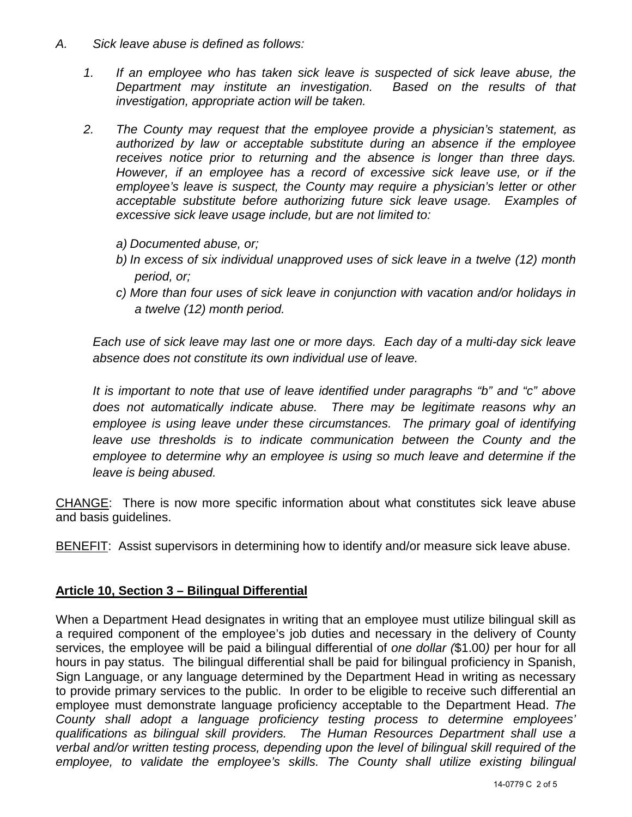- *A. Sick leave abuse is defined as follows:*
	- *1. If an employee who has taken sick leave is suspected of sick leave abuse, the Department may institute an investigation. Based on the results of that investigation, appropriate action will be taken.*
	- *2. The County may request that the employee provide a physician's statement, as authorized by law or acceptable substitute during an absence if the employee receives notice prior to returning and the absence is longer than three days. However, if an employee has a record of excessive sick leave use, or if the employee's leave is suspect, the County may require a physician's letter or other acceptable substitute before authorizing future sick leave usage. Examples of excessive sick leave usage include, but are not limited to:*
		- *a) Documented abuse, or;*
		- *b) In excess of six individual unapproved uses of sick leave in a twelve (12) month period, or;*
		- *c) More than four uses of sick leave in conjunction with vacation and/or holidays in a twelve (12) month period.*

*Each use of sick leave may last one or more days. Each day of a multi-day sick leave absence does not constitute its own individual use of leave.*

*It is important to note that use of leave identified under paragraphs "b" and "c" above does not automatically indicate abuse. There may be legitimate reasons why an employee is using leave under these circumstances. The primary goal of identifying leave use thresholds is to indicate communication between the County and the employee to determine why an employee is using so much leave and determine if the leave is being abused.*

CHANGE: There is now more specific information about what constitutes sick leave abuse and basis guidelines.

BENEFIT: Assist supervisors in determining how to identify and/or measure sick leave abuse.

## **Article 10, Section 3 – Bilingual Differential**

When a Department Head designates in writing that an employee must utilize bilingual skill as a required component of the employee's job duties and necessary in the delivery of County services, the employee will be paid a bilingual differential of *one dollar (*\$1.00*)* per hour for all hours in pay status. The bilingual differential shall be paid for bilingual proficiency in Spanish, Sign Language, or any language determined by the Department Head in writing as necessary to provide primary services to the public. In order to be eligible to receive such differential an employee must demonstrate language proficiency acceptable to the Department Head. *The County shall adopt a language proficiency testing process to determine employees' qualifications as bilingual skill providers. The Human Resources Department shall use a verbal and/or written testing process, depending upon the level of bilingual skill required of the employee, to validate the employee's skills. The County shall utilize existing bilingual*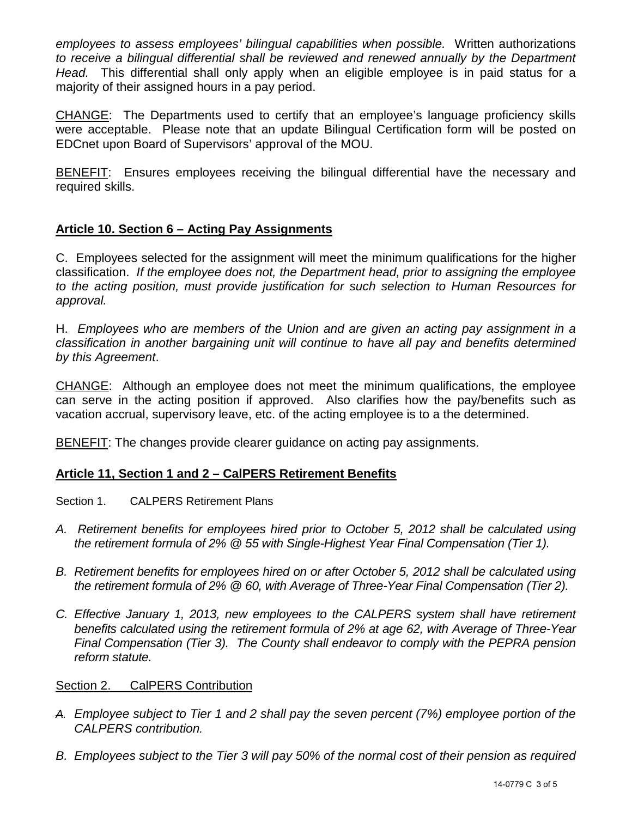*employees to assess employees' bilingual capabilities when possible.* Written authorizations to receive a bilingual differential shall be reviewed and renewed annually by the Department *Head.* This differential shall only apply when an eligible employee is in paid status for a majority of their assigned hours in a pay period.

CHANGE: The Departments used to certify that an employee's language proficiency skills were acceptable. Please note that an update Bilingual Certification form will be posted on EDCnet upon Board of Supervisors' approval of the MOU.

BENEFIT: Ensures employees receiving the bilingual differential have the necessary and required skills.

## **Article 10. Section 6 – Acting Pay Assignments**

C. Employees selected for the assignment will meet the minimum qualifications for the higher classification. *If the employee does not, the Department head, prior to assigning the employee to the acting position, must provide justification for such selection to Human Resources for approval.*

H. *Employees who are members of the Union and are given an acting pay assignment in a classification in another bargaining unit will continue to have all pay and benefits determined by this Agreement*.

CHANGE: Although an employee does not meet the minimum qualifications, the employee can serve in the acting position if approved. Also clarifies how the pay/benefits such as vacation accrual, supervisory leave, etc. of the acting employee is to a the determined.

BENEFIT: The changes provide clearer guidance on acting pay assignments.

## **Article 11, Section 1 and 2 – CalPERS Retirement Benefits**

Section 1. CALPERS Retirement Plans

- *A. Retirement benefits for employees hired prior to October 5, 2012 shall be calculated using the retirement formula of 2% @ 55 with Single-Highest Year Final Compensation (Tier 1).*
- *B. Retirement benefits for employees hired on or after October 5, 2012 shall be calculated using the retirement formula of 2% @ 60, with Average of Three-Year Final Compensation (Tier 2).*
- *C. Effective January 1, 2013, new employees to the CALPERS system shall have retirement benefits calculated using the retirement formula of 2% at age 62, with Average of Three-Year Final Compensation (Tier 3). The County shall endeavor to comply with the PEPRA pension reform statute.*

#### Section 2. CalPERS Contribution

- *A. Employee subject to Tier 1 and 2 shall pay the seven percent (7%) employee portion of the CALPERS contribution.*
- *B. Employees subject to the Tier 3 will pay 50% of the normal cost of their pension as required*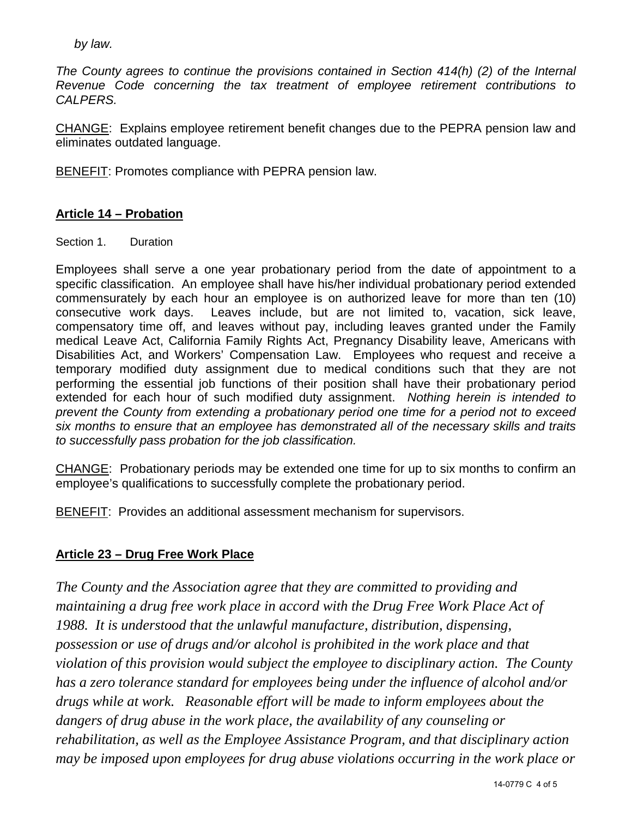*by law.*

*The County agrees to continue the provisions contained in Section 414(h) (2) of the Internal Revenue Code concerning the tax treatment of employee retirement contributions to CALPERS.* 

CHANGE: Explains employee retirement benefit changes due to the PEPRA pension law and eliminates outdated language.

BENEFIT: Promotes compliance with PEPRA pension law.

## **Article 14 – Probation**

Section 1. Duration

Employees shall serve a one year probationary period from the date of appointment to a specific classification. An employee shall have his/her individual probationary period extended commensurately by each hour an employee is on authorized leave for more than ten (10) consecutive work days. Leaves include, but are not limited to, vacation, sick leave, compensatory time off, and leaves without pay, including leaves granted under the Family medical Leave Act, California Family Rights Act, Pregnancy Disability leave, Americans with Disabilities Act, and Workers' Compensation Law. Employees who request and receive a temporary modified duty assignment due to medical conditions such that they are not performing the essential job functions of their position shall have their probationary period extended for each hour of such modified duty assignment. *Nothing herein is intended to prevent the County from extending a probationary period one time for a period not to exceed six months to ensure that an employee has demonstrated all of the necessary skills and traits to successfully pass probation for the job classification.*

CHANGE: Probationary periods may be extended one time for up to six months to confirm an employee's qualifications to successfully complete the probationary period.

BENEFIT: Provides an additional assessment mechanism for supervisors.

## **Article 23 – Drug Free Work Place**

*The County and the Association agree that they are committed to providing and maintaining a drug free work place in accord with the Drug Free Work Place Act of 1988. It is understood that the unlawful manufacture, distribution, dispensing, possession or use of drugs and/or alcohol is prohibited in the work place and that violation of this provision would subject the employee to disciplinary action. The County has a zero tolerance standard for employees being under the influence of alcohol and/or drugs while at work. Reasonable effort will be made to inform employees about the dangers of drug abuse in the work place, the availability of any counseling or rehabilitation, as well as the Employee Assistance Program, and that disciplinary action may be imposed upon employees for drug abuse violations occurring in the work place or*